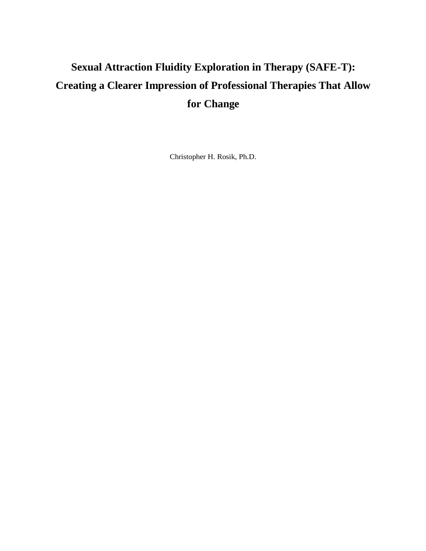## **Sexual Attraction Fluidity Exploration in Therapy (SAFE-T): Creating a Clearer Impression of Professional Therapies That Allow for Change**

Christopher H. Rosik, Ph.D.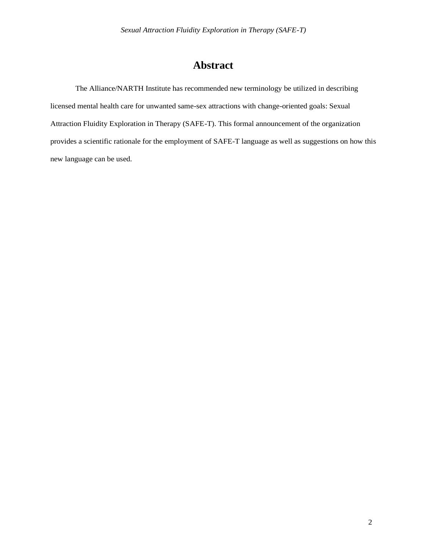## **Abstract**

The Alliance/NARTH Institute has recommended new terminology be utilized in describing licensed mental health care for unwanted same-sex attractions with change-oriented goals: Sexual Attraction Fluidity Exploration in Therapy (SAFE-T). This formal announcement of the organization provides a scientific rationale for the employment of SAFE-T language as well as suggestions on how this new language can be used.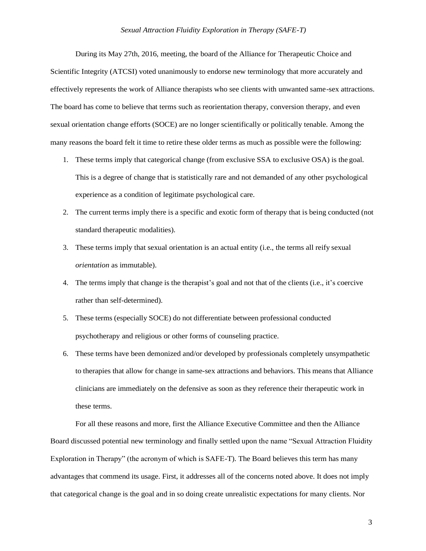During its May 27th, 2016, meeting, the board of the Alliance for Therapeutic Choice and Scientific Integrity (ATCSI) voted unanimously to endorse new terminology that more accurately and effectively represents the work of Alliance therapists who see clients with unwanted same-sex attractions. The board has come to believe that terms such as reorientation therapy, conversion therapy, and even sexual orientation change efforts (SOCE) are no longer scientifically or politically tenable. Among the many reasons the board felt it time to retire these older terms as much as possible were the following:

- 1. These terms imply that categorical change (from exclusive SSA to exclusive OSA) is the goal. This is a degree of change that is statistically rare and not demanded of any other psychological experience as a condition of legitimate psychological care.
- 2. The current terms imply there is a specific and exotic form of therapy that is being conducted (not standard therapeutic modalities).
- 3. These terms imply that sexual orientation is an actual entity (i.e., the terms all reify sexual *orientation* as immutable).
- 4. The terms imply that change is the therapist's goal and not that of the clients (i.e., it's coercive rather than self-determined).
- 5. These terms (especially SOCE) do not differentiate between professional conducted psychotherapy and religious or other forms of counseling practice.
- 6. These terms have been demonized and/or developed by professionals completely unsympathetic to therapies that allow for change in same-sex attractions and behaviors. This means that Alliance clinicians are immediately on the defensive as soon as they reference their therapeutic work in these terms.

For all these reasons and more, first the Alliance Executive Committee and then the Alliance Board discussed potential new terminology and finally settled upon the name "Sexual Attraction Fluidity Exploration in Therapy" (the acronym of which is SAFE-T). The Board believes this term has many advantages that commend its usage. First, it addresses all of the concerns noted above. It does not imply that categorical change is the goal and in so doing create unrealistic expectations for many clients. Nor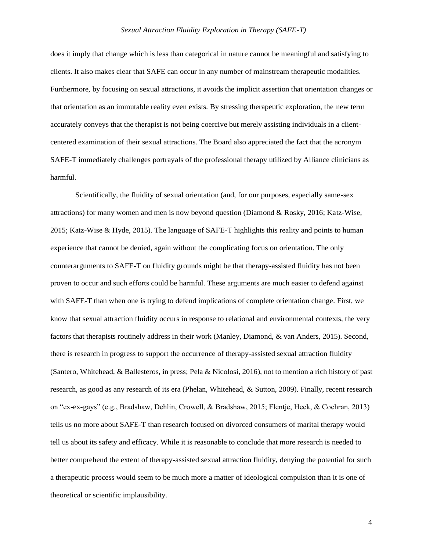does it imply that change which is less than categorical in nature cannot be meaningful and satisfying to clients. It also makes clear that SAFE can occur in any number of mainstream therapeutic modalities. Furthermore, by focusing on sexual attractions, it avoids the implicit assertion that orientation changes or that orientation as an immutable reality even exists. By stressing therapeutic exploration, the new term accurately conveys that the therapist is not being coercive but merely assisting individuals in a clientcentered examination of their sexual attractions. The Board also appreciated the fact that the acronym SAFE-T immediately challenges portrayals of the professional therapy utilized by Alliance clinicians as harmful.

Scientifically, the fluidity of sexual orientation (and, for our purposes, especially same-sex attractions) for many women and men is now beyond question (Diamond & Rosky, 2016; Katz-Wise, 2015; Katz-Wise & Hyde, 2015). The language of SAFE-T highlights this reality and points to human experience that cannot be denied, again without the complicating focus on orientation. The only counterarguments to SAFE-T on fluidity grounds might be that therapy-assisted fluidity has not been proven to occur and such efforts could be harmful. These arguments are much easier to defend against with SAFE-T than when one is trying to defend implications of complete orientation change. First, we know that sexual attraction fluidity occurs in response to relational and environmental contexts, the very factors that therapists routinely address in their work (Manley, Diamond, & van Anders, 2015). Second, there is research in progress to support the occurrence of therapy-assisted sexual attraction fluidity (Santero, Whitehead, & Ballesteros, in press; Pela & Nicolosi, 2016), not to mention a rich history of past research, as good as any research of its era (Phelan, Whitehead, & Sutton, 2009). Finally, recent research on "ex-ex-gays" (e.g., Bradshaw, Dehlin, Crowell, & Bradshaw, 2015; Flentje, Heck, & Cochran, 2013) tells us no more about SAFE-T than research focused on divorced consumers of marital therapy would tell us about its safety and efficacy. While it is reasonable to conclude that more research is needed to better comprehend the extent of therapy-assisted sexual attraction fluidity, denying the potential for such a therapeutic process would seem to be much more a matter of ideological compulsion than it is one of theoretical or scientific implausibility.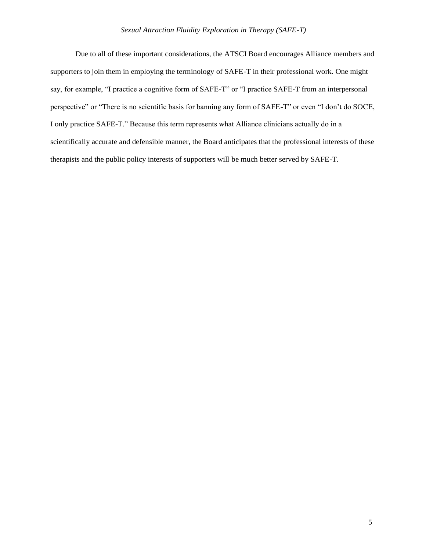Due to all of these important considerations, the ATSCI Board encourages Alliance members and supporters to join them in employing the terminology of SAFE-T in their professional work. One might say, for example, "I practice a cognitive form of SAFE-T" or "I practice SAFE-T from an interpersonal perspective" or "There is no scientific basis for banning any form of SAFE-T" or even "I don't do SOCE, I only practice SAFE-T." Because this term represents what Alliance clinicians actually do in a scientifically accurate and defensible manner, the Board anticipates that the professional interests of these therapists and the public policy interests of supporters will be much better served by SAFE-T.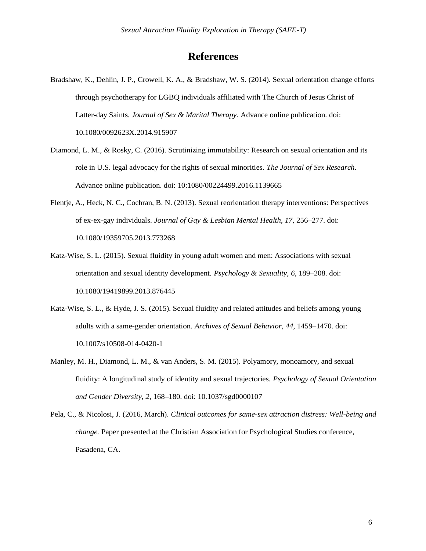## **References**

- Bradshaw, K., Dehlin, J. P., Crowell, K. A., & Bradshaw, W. S. (2014). Sexual orientation change efforts through psychotherapy for LGBQ individuals affiliated with The Church of Jesus Christ of Latter-day Saints. *Journal of Sex & Marital Therapy*. Advance online publication. doi: 10.1080/0092623X.2014.915907
- Diamond, L. M., & Rosky, C. (2016). Scrutinizing immutability: Research on sexual orientation and its role in U.S. legal advocacy for the rights of sexual minorities. *The Journal of Sex Research*. Advance online publication. doi: 10:1080/00224499.2016.1139665
- Flentje, A., Heck, N. C., Cochran, B. N. (2013). Sexual reorientation therapy interventions: Perspectives of ex-ex-gay individuals. *Journal of Gay & Lesbian Mental Health, 17*, 256–277. doi: 10.1080/19359705.2013.773268
- Katz-Wise, S. L. (2015). Sexual fluidity in young adult women and men: Associations with sexual orientation and sexual identity development. *Psychology & Sexuality*, *6*, 189–208. doi: 10.1080/19419899.2013.876445
- Katz-Wise, S. L., & Hyde, J. S. (2015). Sexual fluidity and related attitudes and beliefs among young adults with a same-gender orientation. *Archives of Sexual Behavior*, *44*, 1459–1470. doi: 10.1007/s10508-014-0420-1
- Manley, M. H., Diamond, L. M., & van Anders, S. M. (2015). Polyamory, monoamory, and sexual fluidity: A longitudinal study of identity and sexual trajectories. *Psychology of Sexual Orientation and Gender Diversity, 2*, 168–180. doi: 10.1037/sgd0000107
- Pela, C., & Nicolosi, J. (2016, March). *Clinical outcomes for same-sex attraction distress: Well-being and change.* Paper presented at the Christian Association for Psychological Studies conference, Pasadena, CA.